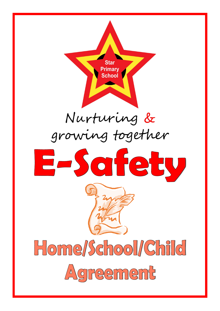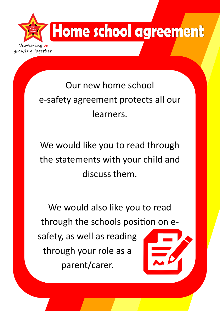

### Our new home school e-safety agreement protects all our learners.

We would like you to read through the statements with your child and discuss them.

We would also like you to read through the schools position on esafety, as well as reading through your role as a parent/carer.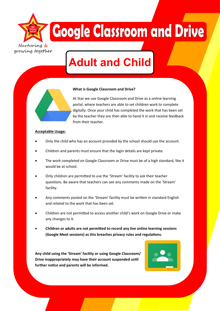Nurturing & growing together

## **Google Classroom and Drive**

### **Adult and Child**

#### **What is Google Classroom and Drive?**

At Star we use Google Classroom and Drive as a online learning portal, where teachers are able to set children work to complete digitally. Once your child has completed the work that has been set by the teacher they are then able to hand it in and receive feedback from their teacher.

#### **Acceptable Usage:**

- Only the child who has an account provided by the school should use the account.
- Children and parents must ensure that the login details are kept private.
- The work completed on Google Classroom or Drive must be of a high standard, like it would be at school.
- Only children are permitted to use the 'Stream' facility to ask their teacher questions. Be aware that teachers can see any comments made on the 'Stream' facility.
- Any comments posted on the 'Stream' facility must be written in standard English and related to the work that has been set.
- Children are not permitted to access another child's work on Google Drive or make any changes to it.
- **Children or adults are not permitted to record any live online learning sessions (Google Meet sessions) as this breaches privacy rules and regulations.**

**Any child using the 'Stream' facility or using Google Classroom/ Drive inappropriately may have their account suspended until further notice and parents will be informed.**

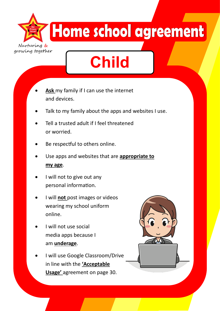Home school agreement Nurtu growing together

# **Child**

- **Ask** my family if I can use the internet and devices.
- Talk to my family about the apps and websites I use.
- Tell a trusted adult if I feel threatened or worried.
- Be respectful to others online.
- Use apps and websites that are **appropriate to my age**.
- I will not to give out any personal information.
- I will **not** post images or videos wearing my school uniform online.
- I will not use social media apps because I am **underage**.
- I will use Google Classroom/Drive in line with the **'Acceptable Usage'** agreement on page 30.

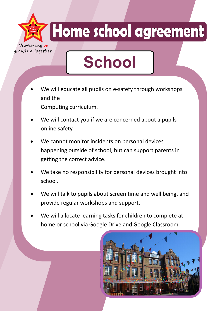Home school agreement

growing together

## **School**

- We will educate all pupils on e-safety through workshops and the Computing curriculum.
- We will contact you if we are concerned about a pupils online safety.
- We cannot monitor incidents on personal devices happening outside of school, but can support parents in getting the correct advice.
- We take no responsibility for personal devices brought into school.
- We will talk to pupils about screen time and well being, and provide regular workshops and support.
- We will allocate learning tasks for children to complete at home or school via Google Drive and Google Classroom.